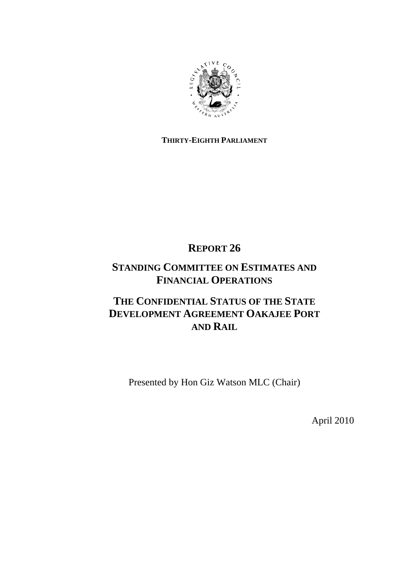

# **THIRTY-EIGHTH PARLIAMENT**

# **REPORT 26**

# **STANDING COMMITTEE ON ESTIMATES AND FINANCIAL OPERATIONS**

# **THE CONFIDENTIAL STATUS OF THE STATE DEVELOPMENT AGREEMENT OAKAJEE PORT AND RAIL**

Presented by Hon Giz Watson MLC (Chair)

April 2010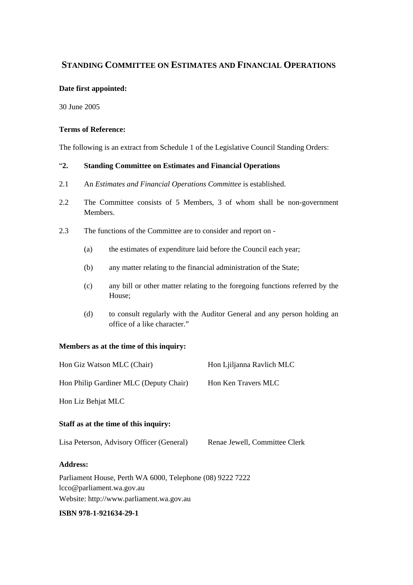# **STANDING COMMITTEE ON ESTIMATES AND FINANCIAL OPERATIONS**

### **Date first appointed:**

30 June 2005

### **Terms of Reference:**

The following is an extract from Schedule 1 of the Legislative Council Standing Orders:

## "**2. Standing Committee on Estimates and Financial Operations**

- 2.1 An *Estimates and Financial Operations Committee* is established.
- 2.2 The Committee consists of 5 Members, 3 of whom shall be non-government Members.
- 2.3 The functions of the Committee are to consider and report on
	- (a) the estimates of expenditure laid before the Council each year;
	- (b) any matter relating to the financial administration of the State;
	- (c) any bill or other matter relating to the foregoing functions referred by the House;
	- (d) to consult regularly with the Auditor General and any person holding an office of a like character."

## **Members as at the time of this inquiry:**

| Hon Giz Watson MLC (Chair)                                | Hon Ljiljanna Ravlich MLC     |
|-----------------------------------------------------------|-------------------------------|
| Hon Philip Gardiner MLC (Deputy Chair)                    | Hon Ken Travers MLC           |
| Hon Liz Behjat MLC                                        |                               |
| Staff as at the time of this inquiry:                     |                               |
| Lisa Peterson, Advisory Officer (General)                 | Renae Jewell, Committee Clerk |
| <b>Address:</b>                                           |                               |
| Parliament House, Perth WA 6000, Telephone (08) 9222 7222 |                               |
| lcco@parliament.wa.gov.au                                 |                               |
| Website: http://www.parliament.wa.gov.au                  |                               |

#### **ISBN 978-1-921634-29-1**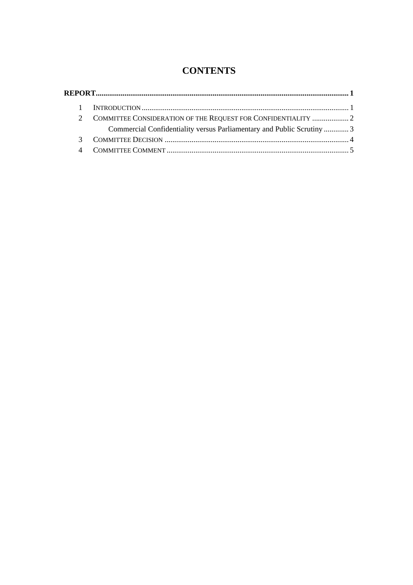# **CONTENTS**

| COMMITTEE CONSIDERATION OF THE REQUEST FOR CONFIDENTIALITY  2          |  |
|------------------------------------------------------------------------|--|
| Commercial Confidentiality versus Parliamentary and Public Scrutiny  3 |  |
|                                                                        |  |
|                                                                        |  |
|                                                                        |  |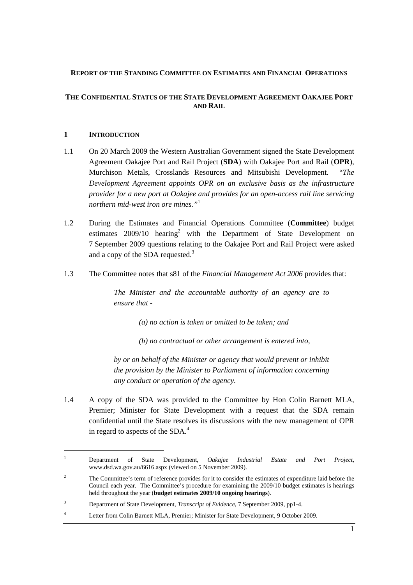#### **REPORT OF THE STANDING COMMITTEE ON ESTIMATES AND FINANCIAL OPERATIONS**

### **THE CONFIDENTIAL STATUS OF THE STATE DEVELOPMENT AGREEMENT OAKAJEE PORT AND RAIL**

#### **1 INTRODUCTION**

 $\overline{a}$ 

- 1.1 On 20 March 2009 the Western Australian Government signed the State Development Agreement Oakajee Port and Rail Project (**SDA**) with Oakajee Port and Rail (**OPR**), Murchison Metals, Crosslands Resources and Mitsubishi Development. "*The Development Agreement appoints OPR on an exclusive basis as the infrastructure provider for a new port at Oakajee and provides for an open-access rail line servicing northern mid-west iron ore mines."*<sup>1</sup>
- 1.2 During the Estimates and Financial Operations Committee (**Committee**) budget estimates  $2009/10$  hearing<sup>2</sup> with the Department of State Development on 7 September 2009 questions relating to the Oakajee Port and Rail Project were asked and a copy of the SDA requested. $3$
- 1.3 The Committee notes that s81 of the *Financial Management Act 2006* provides that:

*The Minister and the accountable authority of an agency are to ensure that -* 

*(a) no action is taken or omitted to be taken; and* 

*(b) no contractual or other arrangement is entered into,* 

*by or on behalf of the Minister or agency that would prevent or inhibit the provision by the Minister to Parliament of information concerning any conduct or operation of the agency.* 

1.4 A copy of the SDA was provided to the Committee by Hon Colin Barnett MLA, Premier; Minister for State Development with a request that the SDA remain confidential until the State resolves its discussions with the new management of OPR in regard to aspects of the SDA. $4$ 

<sup>1</sup> Department of State Development, *Oakajee Industrial Estate and Port Project*, www.dsd.wa.gov.au/6616.aspx (viewed on 5 November 2009).

<sup>2</sup> The Committee's term of reference provides for it to consider the estimates of expenditure laid before the Council each year. The Committee's procedure for examining the 2009/10 budget estimates is hearings held throughout the year (**budget estimates 2009/10 ongoing hearings**).

<sup>3</sup> Department of State Development, *Transcript of Evidence,* 7 September 2009, pp1-4.

<sup>4</sup> Letter from Colin Barnett MLA, Premier; Minister for State Development, 9 October 2009.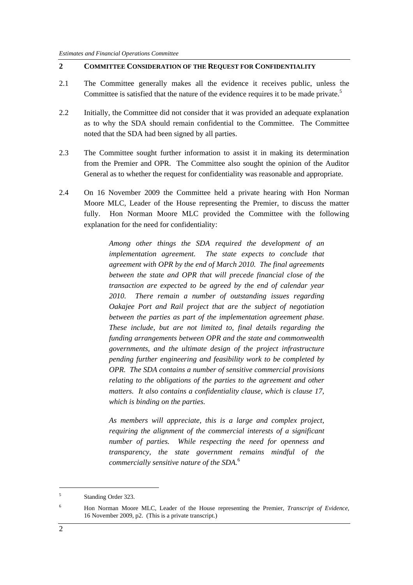## **2 COMMITTEE CONSIDERATION OF THE REQUEST FOR CONFIDENTIALITY**

- 2.1 The Committee generally makes all the evidence it receives public, unless the Committee is satisfied that the nature of the evidence requires it to be made private.<sup>5</sup>
- 2.2 Initially, the Committee did not consider that it was provided an adequate explanation as to why the SDA should remain confidential to the Committee. The Committee noted that the SDA had been signed by all parties.
- 2.3 The Committee sought further information to assist it in making its determination from the Premier and OPR. The Committee also sought the opinion of the Auditor General as to whether the request for confidentiality was reasonable and appropriate.
- 2.4 On 16 November 2009 the Committee held a private hearing with Hon Norman Moore MLC, Leader of the House representing the Premier, to discuss the matter fully. Hon Norman Moore MLC provided the Committee with the following explanation for the need for confidentiality:

*Among other things the SDA required the development of an implementation agreement. The state expects to conclude that agreement with OPR by the end of March 2010. The final agreements between the state and OPR that will precede financial close of the transaction are expected to be agreed by the end of calendar year 2010. There remain a number of outstanding issues regarding Oakajee Port and Rail project that are the subject of negotiation between the parties as part of the implementation agreement phase. These include, but are not limited to, final details regarding the funding arrangements between OPR and the state and commonwealth governments, and the ultimate design of the project infrastructure pending further engineering and feasibility work to be completed by OPR. The SDA contains a number of sensitive commercial provisions relating to the obligations of the parties to the agreement and other matters. It also contains a confidentiality clause, which is clause 17, which is binding on the parties.* 

*As members will appreciate, this is a large and complex project, requiring the alignment of the commercial interests of a significant number of parties. While respecting the need for openness and transparency, the state government remains mindful of the commercially sensitive nature of the SDA.*<sup>6</sup>

<sup>5</sup> Standing Order 323.

<sup>6</sup> Hon Norman Moore MLC, Leader of the House representing the Premier*, Transcript of Evidence,*  16 November 2009, p2. (This is a private transcript.)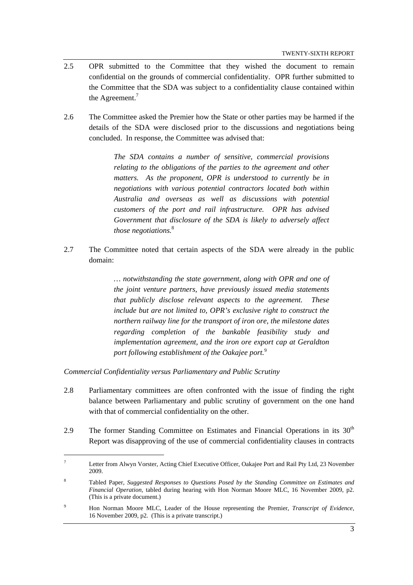- 2.5 OPR submitted to the Committee that they wished the document to remain confidential on the grounds of commercial confidentiality. OPR further submitted to the Committee that the SDA was subject to a confidentiality clause contained within the Agreement.<sup>7</sup>
- 2.6 The Committee asked the Premier how the State or other parties may be harmed if the details of the SDA were disclosed prior to the discussions and negotiations being concluded. In response, the Committee was advised that:

*The SDA contains a number of sensitive, commercial provisions relating to the obligations of the parties to the agreement and other matters. As the proponent, OPR is understood to currently be in negotiations with various potential contractors located both within Australia and overseas as well as discussions with potential customers of the port and rail infrastructure. OPR has advised Government that disclosure of the SDA is likely to adversely affect those negotiations.*<sup>8</sup>

2.7 The Committee noted that certain aspects of the SDA were already in the public domain:

> *… notwithstanding the state government, along with OPR and one of the joint venture partners, have previously issued media statements that publicly disclose relevant aspects to the agreement. These include but are not limited to, OPR's exclusive right to construct the northern railway line for the transport of iron ore, the milestone dates regarding completion of the bankable feasibility study and implementation agreement, and the iron ore export cap at Geraldton port following establishment of the Oakajee port.*<sup>9</sup>

*Commercial Confidentiality versus Parliamentary and Public Scrutiny* 

 $\overline{a}$ 

- 2.8 Parliamentary committees are often confronted with the issue of finding the right balance between Parliamentary and public scrutiny of government on the one hand with that of commercial confidentiality on the other.
- 2.9 The former Standing Committee on Estimates and Financial Operations in its  $30<sup>th</sup>$ Report was disapproving of the use of commercial confidentiality clauses in contracts

<sup>7</sup> Letter from Alwyn Vorster, Acting Chief Executive Officer, Oakajee Port and Rail Pty Ltd, 23 November 2009.

<sup>8</sup> Tabled Paper, *Suggested Responses to Questions Posed by the Standing Committee on Estimates and Financial Operation*, tabled during hearing with Hon Norman Moore MLC, 16 November 2009, p2. (This is a private document.)

<sup>9</sup> Hon Norman Moore MLC, Leader of the House representing the Premier*, Transcript of Evidence,*  16 November 2009, p2. (This is a private transcript.)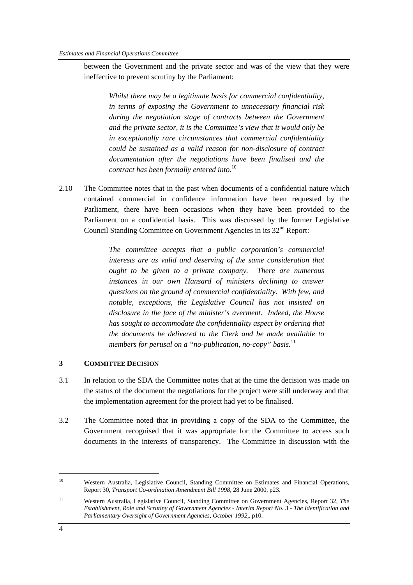between the Government and the private sector and was of the view that they were ineffective to prevent scrutiny by the Parliament:

*Whilst there may be a legitimate basis for commercial confidentiality, in terms of exposing the Government to unnecessary financial risk during the negotiation stage of contracts between the Government and the private sector, it is the Committee's view that it would only be in exceptionally rare circumstances that commercial confidentiality could be sustained as a valid reason for non-disclosure of contract documentation after the negotiations have been finalised and the contract has been formally entered into.*<sup>10</sup>

2.10 The Committee notes that in the past when documents of a confidential nature which contained commercial in confidence information have been requested by the Parliament, there have been occasions when they have been provided to the Parliament on a confidential basis. This was discussed by the former Legislative Council Standing Committee on Government Agencies in its 32nd Report:

> *The committee accepts that a public corporation's commercial interests are as valid and deserving of the same consideration that ought to be given to a private company. There are numerous instances in our own Hansard of ministers declining to answer questions on the ground of commercial confidentiality. With few, and notable, exceptions, the Legislative Council has not insisted on disclosure in the face of the minister's averment. Indeed, the House has sought to accommodate the confidentiality aspect by ordering that the documents be delivered to the Clerk and be made available to members for perusal on a "no-publication, no-copy" basis.*<sup>11</sup>

#### **3 COMMITTEE DECISION**

- 3.1 In relation to the SDA the Committee notes that at the time the decision was made on the status of the document the negotiations for the project were still underway and that the implementation agreement for the project had yet to be finalised.
- 3.2 The Committee noted that in providing a copy of the SDA to the Committee, the Government recognised that it was appropriate for the Committee to access such documents in the interests of transparency. The Committee in discussion with the

 $\overline{a}$ 

<sup>&</sup>lt;sup>10</sup> Western Australia, Legislative Council, Standing Committee on Estimates and Financial Operations, Report 30, *Transport Co-ordination Amendment Bill 1998,* 28 June 2000, p23.

<sup>11</sup> Western Australia, Legislative Council, Standing Committee on Government Agencies, Report 32, *The Establishment, Role and Scrutiny of Government Agencies - Interim Report No. 3 - The Identification and Parliamentary Oversight of Government Agencies, October 1992,*, p10.